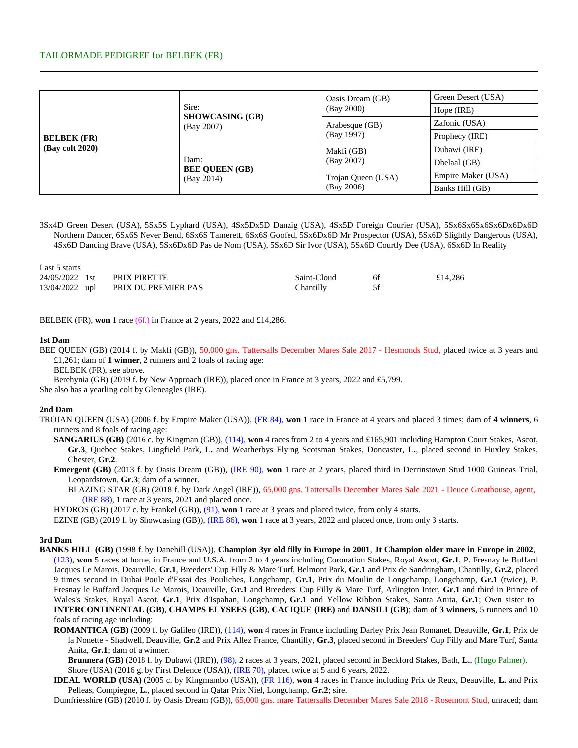## TAILORMADE PEDIGREE for BELBEK (FR)

| <b>BELBEK</b> (FR)<br>(Bay colt 2020) |                                             | Oasis Dream (GB)   | Green Desert (USA) |  |  |
|---------------------------------------|---------------------------------------------|--------------------|--------------------|--|--|
|                                       | Sire:<br><b>SHOWCASING (GB)</b>             | (Bay 2000)         | Hope (IRE)         |  |  |
|                                       | (Bay 2007)                                  | Arabesque (GB)     | Zafonic (USA)      |  |  |
|                                       |                                             | (Bay 1997)         | Prophecy (IRE)     |  |  |
|                                       |                                             | Makfi (GB)         | Dubawi (IRE)       |  |  |
|                                       | Dam:<br><b>BEE QUEEN (GB)</b><br>(Bay 2014) | (Bay 2007)         | Dhelaal (GB)       |  |  |
|                                       |                                             | Trojan Queen (USA) | Empire Maker (USA) |  |  |
|                                       |                                             | (Bay 2006)         | Banks Hill (GB)    |  |  |

3Sx4D Green Desert (USA), 5Sx5S Lyphard (USA), 4Sx5Dx5D Danzig (USA), 4Sx5D Foreign Courier (USA), 5Sx6Sx6Sx6Sx6Dx6Dx6D Northern Dancer, 6Sx6S Never Bend, 6Sx6S Tamerett, 6Sx6S Goofed, 5Sx6Dx6D Mr Prospector (USA), 5Sx6D Slightly Dangerous (USA), 4Sx6D Dancing Brave (USA), 5Sx6Dx6D Pas de Nom (USA), 5Sx6D Sir Ivor (USA), 5Sx6D Courtly Dee (USA), 6Sx6D In Reality

| Last 5 starts |                                    |             |    |         |
|---------------|------------------------------------|-------------|----|---------|
|               | 24/05/2022 1st PRIX PIRETTE        | Saint-Cloud | 6f | £14,286 |
|               | 13/04/2022 upl PRIX DU PREMIER PAS | Chantilly   |    |         |

BELBEK (FR), **won** 1 race (6f.) in France at 2 years, 2022 and £14,286.

## **1st Dam**

BEE QUEEN (GB) (2014 f. by Makfi (GB)), 50,000 gns. Tattersalls December Mares Sale 2017 - Hesmonds Stud, placed twice at 3 years and £1,261; dam of **1 winner**, 2 runners and 2 foals of racing age:

BELBEK (FR), see above.

Berehynia (GB) (2019 f. by New Approach (IRE)), placed once in France at 3 years, 2022 and £5,799.

She also has a yearling colt by Gleneagles (IRE).

## **2nd Dam**

- TROJAN QUEEN (USA) (2006 f. by Empire Maker (USA)), (FR 84), **won** 1 race in France at 4 years and placed 3 times; dam of **4 winners**, 6 runners and 8 foals of racing age:
	- **SANGARIUS (GB)** (2016 c. by Kingman (GB)), (114), **won** 4 races from 2 to 4 years and £165,901 including Hampton Court Stakes, Ascot, **Gr.3**, Quebec Stakes, Lingfield Park, **L.** and Weatherbys Flying Scotsman Stakes, Doncaster, **L.**, placed second in Huxley Stakes, Chester, **Gr.2**.
	- **Emergent (GB)** (2013 f. by Oasis Dream (GB)), (IRE 90), **won** 1 race at 2 years, placed third in Derrinstown Stud 1000 Guineas Trial, Leopardstown, **Gr.3**; dam of a winner.

BLAZING STAR (GB) (2018 f. by Dark Angel (IRE)), 65,000 gns. Tattersalls December Mares Sale 2021 - Deuce Greathouse, agent, (IRE 88), 1 race at 3 years, 2021 and placed once.

HYDROS (GB) (2017 c. by Frankel (GB)), (91), **won** 1 race at 3 years and placed twice, from only 4 starts.

EZINE (GB) (2019 f. by Showcasing (GB)), (IRE 86), **won** 1 race at 3 years, 2022 and placed once, from only 3 starts.

#### **3rd Dam**

- **BANKS HILL (GB)** (1998 f. by Danehill (USA)), **Champion 3yr old filly in Europe in 2001**, **Jt Champion older mare in Europe in 2002**, (123), **won** 5 races at home, in France and U.S.A. from 2 to 4 years including Coronation Stakes, Royal Ascot, **Gr.1**, P. Fresnay le Buffard Jacques Le Marois, Deauville, **Gr.1**, Breeders' Cup Filly & Mare Turf, Belmont Park, **Gr.1** and Prix de Sandringham, Chantilly, **Gr.2**, placed 9 times second in Dubai Poule d'Essai des Pouliches, Longchamp, **Gr.1**, Prix du Moulin de Longchamp, Longchamp, **Gr.1** (twice), P. Fresnay le Buffard Jacques Le Marois, Deauville, **Gr.1** and Breeders' Cup Filly & Mare Turf, Arlington Inter, **Gr.1** and third in Prince of Wales's Stakes, Royal Ascot, **Gr.1**, Prix d'Ispahan, Longchamp, **Gr.1** and Yellow Ribbon Stakes, Santa Anita, **Gr.1**; Own sister to **INTERCONTINENTAL (GB)**, **CHAMPS ELYSEES (GB)**, **CACIQUE (IRE)** and **DANSILI (GB)**; dam of **3 winners**, 5 runners and 10 foals of racing age including:
	- **ROMANTICA (GB)** (2009 f. by Galileo (IRE)), (114), **won** 4 races in France including Darley Prix Jean Romanet, Deauville, **Gr.1**, Prix de la Nonette - Shadwell, Deauville, **Gr.2** and Prix Allez France, Chantilly, **Gr.3**, placed second in Breeders' Cup Filly and Mare Turf, Santa Anita, **Gr.1**; dam of a winner.

**Brunnera (GB)** (2018 f. by Dubawi (IRE)), (98), 2 races at 3 years, 2021, placed second in Beckford Stakes, Bath, **L.**, (Hugo Palmer). Shore (USA) (2016 g. by First Defence (USA)), (IRE 70), placed twice at 5 and 6 years, 2022.

**IDEAL WORLD (USA)** (2005 c. by Kingmambo (USA)), (FR 116), **won** 4 races in France including Prix de Reux, Deauville, **L.** and Prix Pelleas, Compiegne, **L.**, placed second in Qatar Prix Niel, Longchamp, **Gr.2**; sire.

Dumfriesshire (GB) (2010 f. by Oasis Dream (GB)), 65,000 gns. mare Tattersalls December Mares Sale 2018 - Rosemont Stud, unraced; dam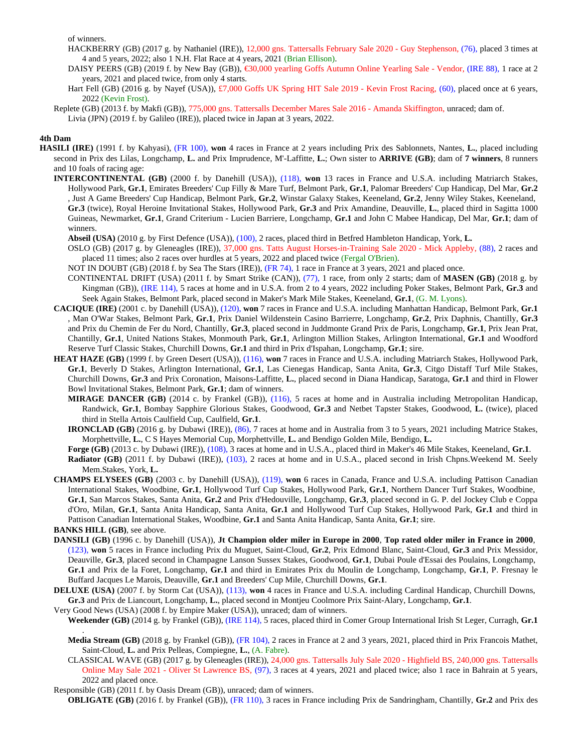of winners.

HACKBERRY (GB) (2017 g. by Nathaniel (IRE)), 12,000 gns. Tattersalls February Sale 2020 - Guy Stephenson, (76), placed 3 times at 4 and 5 years, 2022; also 1 N.H. Flat Race at 4 years, 2021 (Brian Ellison).

- DAISY PEERS (GB) (2019 f. by New Bay (GB)), €30,000 yearling Goffs Autumn Online Yearling Sale Vendor,(IRE 88), 1 race at 2 years, 2021 and placed twice, from only 4 starts.
- Hart Fell (GB) (2016 g. by Nayef (USA)), £7,000 Goffs UK Spring HIT Sale 2019 Kevin Frost Racing, (60), placed once at 6 years, 2022 (Kevin Frost).
- Replete (GB) (2013 f. by Makfi (GB)), 775,000 gns. Tattersalls December Mares Sale 2016 Amanda Skiffington, unraced; dam of. Livia (JPN) (2019 f. by Galileo (IRE)), placed twice in Japan at 3 years, 2022.

## **4th Dam**

- **HASILI (IRE)** (1991 f. by Kahyasi), (FR 100), **won** 4 races in France at 2 years including Prix des Sablonnets, Nantes, **L.**, placed including second in Prix des Lilas, Longchamp, **L.** and Prix Imprudence, M'-Laffitte, **L.**; Own sister to **ARRIVE (GB)**; dam of **7 winners**, 8 runners and 10 foals of racing age:
	- **INTERCONTINENTAL (GB)** (2000 f. by Danehill (USA)), (118), **won** 13 races in France and U.S.A. including Matriarch Stakes, Hollywood Park, **Gr.1**, Emirates Breeders' Cup Filly & Mare Turf, Belmont Park, **Gr.1**, Palomar Breeders' Cup Handicap, Del Mar, **Gr.2** , Just A Game Breeders' Cup Handicap, Belmont Park, **Gr.2**, Winstar Galaxy Stakes, Keeneland, **Gr.2**, Jenny Wiley Stakes, Keeneland, **Gr.3** (twice), Royal Heroine Invitational Stakes, Hollywood Park, **Gr.3** and Prix Amandine, Deauville, **L.**, placed third in Sagitta 1000 Guineas, Newmarket, **Gr.1**, Grand Criterium - Lucien Barriere, Longchamp, **Gr.1** and John C Mabee Handicap, Del Mar, **Gr.1**; dam of winners.

**Abseil (USA)** (2010 g. by First Defence (USA)), (100), 2 races, placed third in Betfred Hambleton Handicap, York, **L.**

- OSLO (GB) (2017 g. by Gleneagles (IRE)), 37,000 gns. Tatts August Horses-in-Training Sale 2020 Mick Appleby, (88), 2 races and placed 11 times; also 2 races over hurdles at 5 years, 2022 and placed twice (Fergal O'Brien).
- NOT IN DOUBT (GB) (2018 f. by Sea The Stars (IRE)), (FR 74), 1 race in France at 3 years, 2021 and placed once.
- CONTINENTAL DRIFT (USA) (2011 f. by Smart Strike (CAN)), (77), 1 race, from only 2 starts; dam of **MASEN (GB)** (2018 g. by Kingman (GB)), (IRE 114), 5 races at home and in U.S.A. from 2 to 4 years, 2022 including Poker Stakes, Belmont Park, **Gr.3** and Seek Again Stakes, Belmont Park, placed second in Maker's Mark Mile Stakes, Keeneland, **Gr.1**, (G. M. Lyons).
- **CACIQUE (IRE)** (2001 c. by Danehill (USA)), (120), **won** 7 races in France and U.S.A. including Manhattan Handicap, Belmont Park, **Gr.1** , Man O'War Stakes, Belmont Park, **Gr.1**, Prix Daniel Wildenstein Casino Barrierre, Longchamp, **Gr.2**, Prix Daphnis, Chantilly, **Gr.3** and Prix du Chemin de Fer du Nord, Chantilly, **Gr.3**, placed second in Juddmonte Grand Prix de Paris, Longchamp, **Gr.1**, Prix Jean Prat, Chantilly, **Gr.1**, United Nations Stakes, Monmouth Park, **Gr.1**, Arlington Million Stakes, Arlington International, **Gr.1** and Woodford Reserve Turf Classic Stakes, Churchill Downs, **Gr.1** and third in Prix d'Ispahan, Longchamp, **Gr.1**; sire.
- **HEAT HAZE (GB)** (1999 f. by Green Desert (USA)), (116), **won** 7 races in France and U.S.A. including Matriarch Stakes, Hollywood Park, **Gr.1**, Beverly D Stakes, Arlington International, **Gr.1**, Las Cienegas Handicap, Santa Anita, **Gr.3**, Citgo Distaff Turf Mile Stakes, Churchill Downs, **Gr.3** and Prix Coronation, Maisons-Laffitte, **L.**, placed second in Diana Handicap, Saratoga, **Gr.1** and third in Flower Bowl Invitational Stakes, Belmont Park, **Gr.1**; dam of winners.
	- **MIRAGE DANCER (GB)** (2014 c. by Frankel (GB)), (116), 5 races at home and in Australia including Metropolitan Handicap, Randwick, **Gr.1**, Bombay Sapphire Glorious Stakes, Goodwood, **Gr.3** and Netbet Tapster Stakes, Goodwood, **L.** (twice), placed third in Stella Artois Caulfield Cup, Caulfield, **Gr.1**.
	- **IRONCLAD (GB)** (2016 g. by Dubawi (IRE)), (86), 7 races at home and in Australia from 3 to 5 years, 2021 including Matrice Stakes, Morphettville, **L.**, C S Hayes Memorial Cup, Morphettville, **L.** and Bendigo Golden Mile, Bendigo, **L.**
	- **Forge (GB)** (2013 c. by Dubawi (IRE)), (108), 3 races at home and in U.S.A., placed third in Maker's 46 Mile Stakes, Keeneland, **Gr.1**. **Radiator (GB)** (2011 f. by Dubawi (IRE)), (103), 2 races at home and in U.S.A., placed second in Irish Chpns.Weekend M. Seely Mem.Stakes, York, **L.**
- **CHAMPS ELYSEES (GB)** (2003 c. by Danehill (USA)), (119), **won** 6 races in Canada, France and U.S.A. including Pattison Canadian International Stakes, Woodbine, **Gr.1**, Hollywood Turf Cup Stakes, Hollywood Park, **Gr.1**, Northern Dancer Turf Stakes, Woodbine, **Gr.1**, San Marcos Stakes, Santa Anita, **Gr.2** and Prix d'Hedouville, Longchamp, **Gr.3**, placed second in G. P. del Jockey Club e Coppa d'Oro, Milan, **Gr.1**, Santa Anita Handicap, Santa Anita, **Gr.1** and Hollywood Turf Cup Stakes, Hollywood Park, **Gr.1** and third in Pattison Canadian International Stakes, Woodbine, **Gr.1** and Santa Anita Handicap, Santa Anita, **Gr.1**; sire.

**BANKS HILL (GB)**, see above.

- **DANSILI (GB)** (1996 c. by Danehill (USA)), **Jt Champion older miler in Europe in 2000**, **Top rated older miler in France in 2000**, (123), **won** 5 races in France including Prix du Muguet, Saint-Cloud, **Gr.2**, Prix Edmond Blanc, Saint-Cloud, **Gr.3** and Prix Messidor, Deauville, **Gr.3**, placed second in Champagne Lanson Sussex Stakes, Goodwood, **Gr.1**, Dubai Poule d'Essai des Poulains, Longchamp, **Gr.1** and Prix de la Foret, Longchamp, **Gr.1** and third in Emirates Prix du Moulin de Longchamp, Longchamp, **Gr.1**, P. Fresnay le Buffard Jacques Le Marois, Deauville, **Gr.1** and Breeders' Cup Mile, Churchill Downs, **Gr.1**.
- **DELUXE (USA)** (2007 f. by Storm Cat (USA)), (113), **won** 4 races in France and U.S.A. including Cardinal Handicap, Churchill Downs, **Gr.3** and Prix de Liancourt, Longchamp, **L.**, placed second in Montjeu Coolmore Prix Saint-Alary, Longchamp, **Gr.1**.

Very Good News (USA) (2008 f. by Empire Maker (USA)), unraced; dam of winners.

**Weekender (GB)** (2014 g. by Frankel (GB)), (IRE 114), 5 races, placed third in Comer Group International Irish St Leger, Curragh, **Gr.1** .

- **Media Stream (GB)** (2018 g. by Frankel (GB)), (FR 104), 2 races in France at 2 and 3 years, 2021, placed third in Prix Francois Mathet, Saint-Cloud, **L.** and Prix Pelleas, Compiegne, **L.**, (A. Fabre).
- CLASSICAL WAVE (GB) (2017 g. by Gleneagles (IRE)), 24,000 gns. Tattersalls July Sale 2020 Highfield BS, 240,000 gns. Tattersalls Online May Sale 2021 - Oliver St Lawrence BS, (97), 3 races at 4 years, 2021 and placed twice; also 1 race in Bahrain at 5 years, 2022 and placed once.

Responsible (GB) (2011 f. by Oasis Dream (GB)), unraced; dam of winners.

**OBLIGATE (GB)** (2016 f. by Frankel (GB)), (FR 110), 3 races in France including Prix de Sandringham, Chantilly, **Gr.2** and Prix des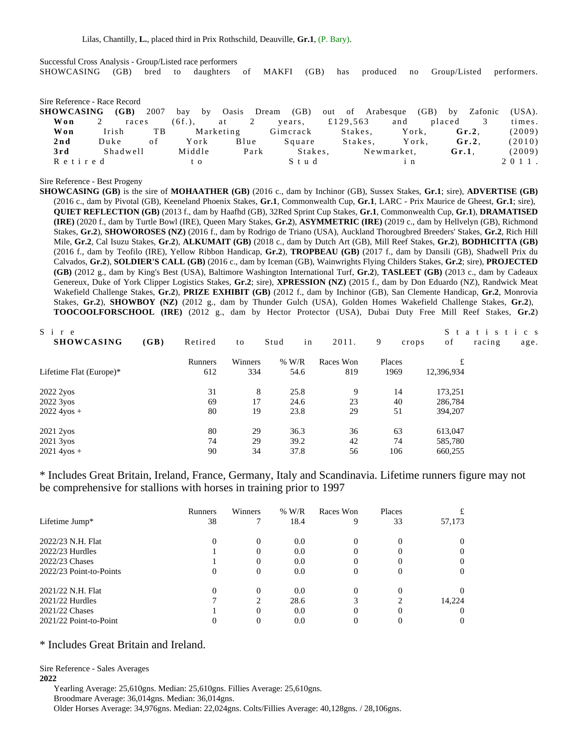Successful Cross Analysis - Group/Listed race performers SHOWCASING (GB) bred to daughters of MAKFI (GB) has produced no Group/Listed performers.

#### Sire Reference - Race Record

| SHOWCASING (GB) |          | 2007 |        | bay by Oasis |                | Dream (GB) out of Arabesque (GB) by |          |            |                 |          | Zafonic  | (USA). |
|-----------------|----------|------|--------|--------------|----------------|-------------------------------------|----------|------------|-----------------|----------|----------|--------|
| Won             | races    |      | (6f.), | at           | $\overline{2}$ | years,                              | £129,563 |            | and             | placed   |          | times. |
| Won             | Irish    | TB.  |        | Marketing    |                | Gimerack                            | Stakes.  |            | York.           |          | $Gr.2$ . | (2009) |
| 2nd             | Duke     | 0 f  | York   |              | Blue           | Square                              | Stakes.  |            | York.           |          | $Gr.2$ . | (2010) |
| 3rd             | Shadwell |      | Middle |              | Park           | Stakes.                             |          | Newmarket, |                 | $Gr.1$ . |          | (2009) |
| Retired         |          |      | t o    |              |                | Stud                                |          |            | $1 \; \text{n}$ |          |          | 2011.  |
|                 |          |      |        |              |                |                                     |          |            |                 |          |          |        |

#### Sire Reference - Best Progeny

**SHOWCASING (GB)** is the sire of **MOHAATHER (GB)** (2016 c., dam by Inchinor (GB), Sussex Stakes, **Gr.1**; sire), **ADVERTISE (GB)** (2016 c., dam by Pivotal (GB), Keeneland Phoenix Stakes, **Gr.1**, Commonwealth Cup, **Gr.1**, LARC - Prix Maurice de Gheest, **Gr.1**; sire), **QUIET REFLECTION (GB)** (2013 f., dam by Haafhd (GB), 32Red Sprint Cup Stakes, **Gr.1**, Commonwealth Cup, **Gr.1**), **DRAMATISED (IRE)** (2020 f., dam by Turtle Bowl (IRE), Queen Mary Stakes, **Gr.2**), **ASYMMETRIC (IRE)** (2019 c., dam by Hellvelyn (GB), Richmond Stakes, **Gr.2**), **SHOWOROSES (NZ)** (2016 f., dam by Rodrigo de Triano (USA), Auckland Thorougbred Breeders' Stakes, **Gr.2**, Rich Hill Mile, **Gr.2**, Cal Isuzu Stakes, **Gr.2**), **ALKUMAIT (GB)** (2018 c., dam by Dutch Art (GB), Mill Reef Stakes, **Gr.2**), **BODHICITTA (GB)** (2016 f., dam by Teofilo (IRE), Yellow Ribbon Handicap, **Gr.2**), **TROPBEAU (GB)** (2017 f., dam by Dansili (GB), Shadwell Prix du Calvados, **Gr.2**), **SOLDIER'S CALL (GB)** (2016 c., dam by Iceman (GB), Wainwrights Flying Childers Stakes, **Gr.2**; sire), **PROJECTED (GB)** (2012 g., dam by King's Best (USA), Baltimore Washington International Turf, **Gr.2**), **TASLEET (GB)** (2013 c., dam by Cadeaux Genereux, Duke of York Clipper Logistics Stakes, **Gr.2**; sire), **XPRESSION (NZ)** (2015 f., dam by Don Eduardo (NZ), Randwick Meat Wakefield Challenge Stakes, **Gr.2**), **PRIZE EXHIBIT (GB)** (2012 f., dam by Inchinor (GB), San Clemente Handicap, **Gr.2**, Monrovia Stakes, **Gr.2**), **SHOWBOY (NZ)** (2012 g., dam by Thunder Gulch (USA), Golden Homes Wakefield Challenge Stakes, **Gr.2**), **TOOCOOLFORSCHOOL (IRE)** (2012 g., dam by Hector Protector (USA), Dubai Duty Free Mill Reef Stakes, **Gr.2**)

| $S_i$ i<br>r e            |         |         |            |           |            | S          | atistics       |
|---------------------------|---------|---------|------------|-----------|------------|------------|----------------|
| <b>SHOWCASING</b><br>(GB) | Retired | to      | in<br>Stud | 2011.     | 9<br>crops | of         | racing<br>age. |
|                           | Runners | Winners | $%$ W/R    | Races Won | Places     | £          |                |
| Lifetime Flat (Europe)*   | 612     | 334     | 54.6       | 819       | 1969       | 12,396,934 |                |
| 2022 2yos                 | 31      | 8       | 25.8       | 9         | 14         | 173,251    |                |
| 2022 3yos                 | 69      | 17      | 24.6       | 23        | 40         | 286,784    |                |
| $2022\,4y$ os +           | 80      | 19      | 23.8       | 29        | 51         | 394,207    |                |
| 2021 2yos                 | 80      | 29      | 36.3       | 36        | 63         | 613,047    |                |
| 2021 3yos                 | 74      | 29      | 39.2       | 42        | 74         | 585,780    |                |
| $2021\,4yos +$            | 90      | 34      | 37.8       | 56        | 106        | 660,255    |                |

\* Includes Great Britain, Ireland, France, Germany, Italy and Scandinavia. Lifetime runners figure may not be comprehensive for stallions with horses in training prior to 1997

|                         | Runners  | Winners        | $%$ W/R | Races Won | Places |          |
|-------------------------|----------|----------------|---------|-----------|--------|----------|
| Lifetime Jump*          | 38       | 7              | 18.4    | 9         | 33     | 57,173   |
| 2022/23 N.H. Flat       | $\theta$ | 0              | 0.0     |           |        | $\theta$ |
| $2022/23$ Hurdles       |          | $\theta$       | 0.0     |           |        | $\theta$ |
| 2022/23 Chases          |          | $\theta$       | 0.0     | 0         |        | $\theta$ |
| 2022/23 Point-to-Points | 0        | 0              | 0.0     | 0         |        | 0        |
| 2021/22 N.H. Flat       | 0        | 0              | 0.0     |           |        |          |
| $2021/22$ Hurdles       |          | $\mathfrak{D}$ | 28.6    |           |        | 14.224   |
| 2021/22 Chases          |          | 0              | 0.0     |           |        | $\theta$ |
| 2021/22 Point-to-Point  |          | $\theta$       | 0.0     |           |        | $\theta$ |

# \* Includes Great Britain and Ireland.

Sire Reference - Sales Averages

# **2022**

Yearling Average: 25,610gns. Median: 25,610gns. Fillies Average: 25,610gns. Broodmare Average: 36,014gns. Median: 36,014gns. Older Horses Average: 34,976gns. Median: 22,024gns. Colts/Fillies Average: 40,128gns. / 28,106gns.